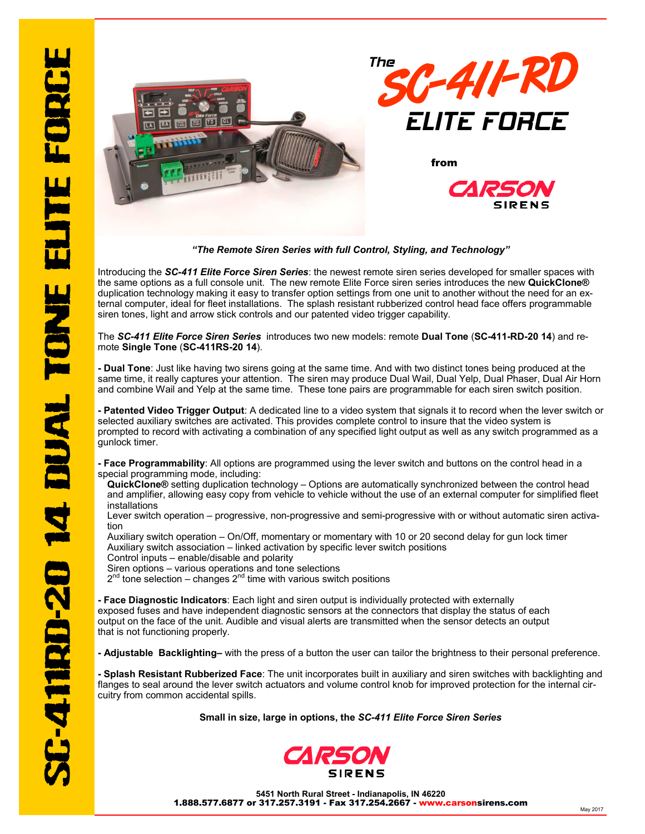

*"The Remote Siren Series with full Control, Styling, and Technology"* 

Introducing the *SC-411 Elite Force Siren Series*: the newest remote siren series developed for smaller spaces with the same options as a full console unit. The new remote Elite Force siren series introduces the new **QuickClone®** duplication technology making it easy to transfer option settings from one unit to another without the need for an external computer, ideal for fleet installations. The splash resistant rubberized control head face offers programmable siren tones, light and arrow stick controls and our patented video trigger capability.

## The *SC-411 Elite Force Siren Series* introduces two new models: remote **Dual Tone** (**SC-411-RD-20 14**) and remote **Single Tone** (**SC-411RS-20 14**).

**- Dual Tone**: Just like having two sirens going at the same time. And with two distinct tones being produced at the same time, it really captures your attention. The siren may produce Dual Wail, Dual Yelp, Dual Phaser, Dual Air Horn and combine Wail and Yelp at the same time. These tone pairs are programmable for each siren switch position.

**- Patented Video Trigger Output**: A dedicated line to a video system that signals it to record when the lever switch or selected auxiliary switches are activated. This provides complete control to insure that the video system is prompted to record with activating a combination of any specified light output as well as any switch programmed as a gunlock timer.

- **Face Programmability**: All options are programmed using the lever switch and buttons on the control head in a special programming mode, including:
- QuickClone® setting duplication technology Options are automatically synchronized between the control head and amplifier, allowing easy copy from vehicle to vehicle without the use of an external computer for simplified fleet installations
- Lever switch operation progressive, non-progressive and semi-progressive with or without automatic siren activation
- Auxiliary switch operation On/Off, momentary or momentary with 10 or 20 second delay for gun lock timer Auxiliary switch association – linked activation by specific lever switch positions
- Control inputs enable/disable and polarity
- Siren options various operations and tone selections
- $2^{nd}$  tone selection changes  $2^{nd}$  time with various switch positions

**- Face Diagnostic Indicators**: Each light and siren output is individually protected with externally exposed fuses and have independent diagnostic sensors at the connectors that display the status of each output on the face of the unit. Audible and visual alerts are transmitted when the sensor detects an output that is not functioning properly.

**- Adjustable Backlighting–** with the press of a button the user can tailor the brightness to their personal preference.

**- Splash Resistant Rubberized Face**: The unit incorporates built in auxiliary and siren switches with backlighting and flanges to seal around the lever switch actuators and volume control knob for improved protection for the internal circuitry from common accidental spills.

**Small in size, large in options, the** *SC-411 Elite Force Siren Series* 



**5451 North Rural Street - Indianapolis, IN 46220**  1.888.577.6877 or 317.257.3191 - Fax 317.254.2667 - www.carsonsirens.com